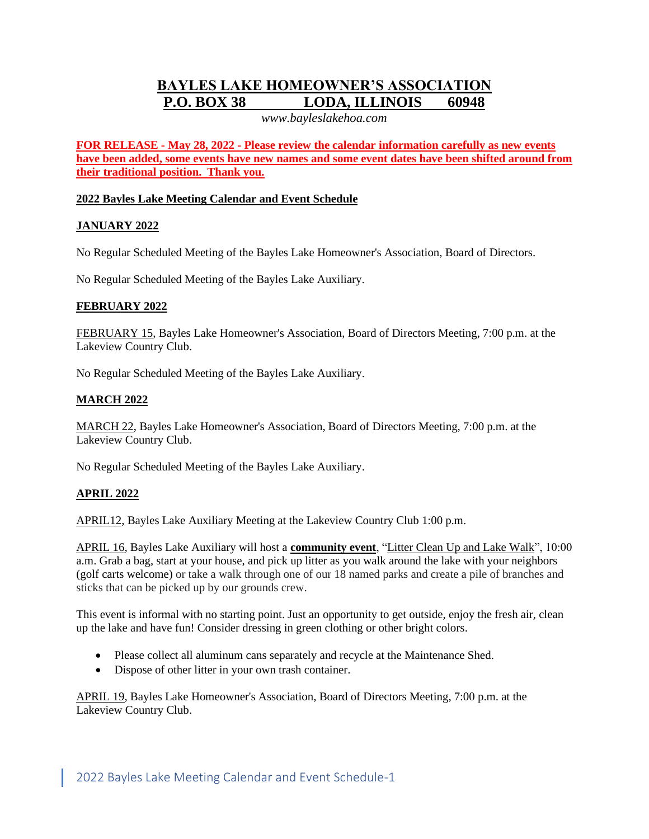# **BAYLES LAKE HOMEOWNER'S ASSOCIATION P.O. BOX 38 LODA, ILLINOIS 60948**

*www.bayleslakehoa.com*

**FOR RELEASE - May 28, 2022 - Please review the calendar information carefully as new events have been added, some events have new names and some event dates have been shifted around from their traditional position. Thank you.**

# **2022 Bayles Lake Meeting Calendar and Event Schedule**

### **JANUARY 2022**

No Regular Scheduled Meeting of the Bayles Lake Homeowner's Association, Board of Directors.

No Regular Scheduled Meeting of the Bayles Lake Auxiliary.

# **FEBRUARY 2022**

FEBRUARY 15, Bayles Lake Homeowner's Association, Board of Directors Meeting, 7:00 p.m. at the Lakeview Country Club.

No Regular Scheduled Meeting of the Bayles Lake Auxiliary.

# **MARCH 2022**

MARCH 22, Bayles Lake Homeowner's Association, Board of Directors Meeting, 7:00 p.m. at the Lakeview Country Club.

No Regular Scheduled Meeting of the Bayles Lake Auxiliary.

### **APRIL 2022**

APRIL12, Bayles Lake Auxiliary Meeting at the Lakeview Country Club 1:00 p.m.

APRIL 16, Bayles Lake Auxiliary will host a **community event**, "Litter Clean Up and Lake Walk", 10:00 a.m. Grab a bag, start at your house, and pick up litter as you walk around the lake with your neighbors (golf carts welcome) or take a walk through one of our 18 named parks and create a pile of branches and sticks that can be picked up by our grounds crew.

This event is informal with no starting point. Just an opportunity to get outside, enjoy the fresh air, clean up the lake and have fun! Consider dressing in green clothing or other bright colors.

- Please collect all aluminum cans separately and recycle at the Maintenance Shed.
- Dispose of other litter in your own trash container.

APRIL 19, Bayles Lake Homeowner's Association, Board of Directors Meeting, 7:00 p.m. at the Lakeview Country Club.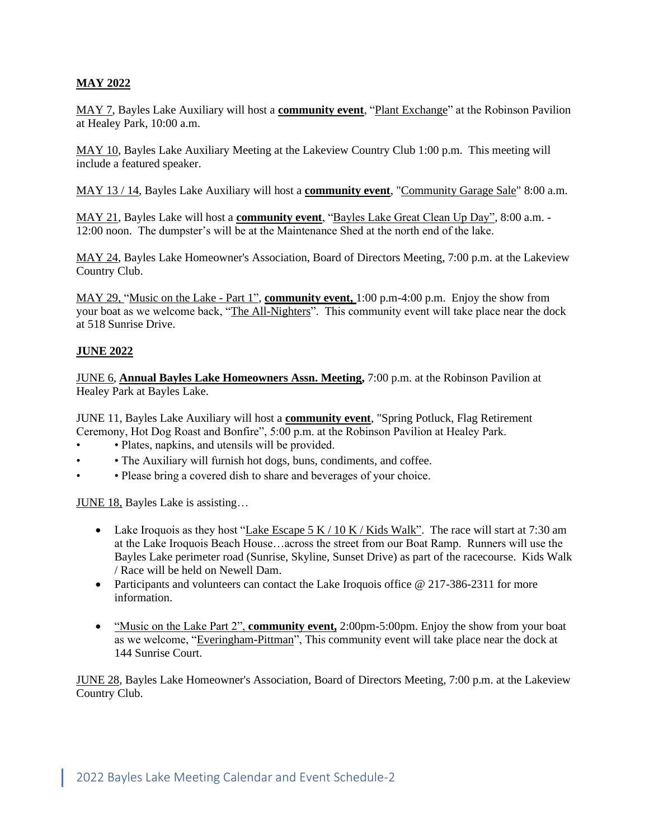# **MAY 2022**

MAY 7, Bayles Lake Auxiliary will host a **community event**, "Plant Exchange" at the Robinson Pavilion at Healey Park, 10:00 a.m.

MAY 10, Bayles Lake Auxiliary Meeting at the Lakeview Country Club 1:00 p.m. This meeting will include a featured speaker.

MAY 13 / 14, Bayles Lake Auxiliary will host a **community event**, "Community Garage Sale" 8:00 a.m.

MAY 21, Bayles Lake will host a **community event**, "Bayles Lake Great Clean Up Day", 8:00 a.m. - 12:00 noon. The dumpster's will be at the Maintenance Shed at the north end of the lake.

MAY 24, Bayles Lake Homeowner's Association, Board of Directors Meeting, 7:00 p.m. at the Lakeview Country Club.

MAY 29, "Music on the Lake - Part 1", **community event,** 1:00 p.m-4:00 p.m. Enjoy the show from your boat as we welcome back, "The All-Nighters". This community event will take place near the dock at 518 Sunrise Drive.

### **JUNE 2022**

JUNE 6, **Annual Bayles Lake Homeowners Assn. Meeting,** 7:00 p.m. at the Robinson Pavilion at Healey Park at Bayles Lake.

JUNE 11, Bayles Lake Auxiliary will host a **community event**, "Spring Potluck, Flag Retirement Ceremony, Hot Dog Roast and Bonfire", 5:00 p.m. at the Robinson Pavilion at Healey Park.

- • Plates, napkins, and utensils will be provided.
- The Auxiliary will furnish hot dogs, buns, condiments, and coffee.
- • Please bring a covered dish to share and beverages of your choice.

JUNE 18, Bayles Lake is assisting…

- Lake Iroquois as they host "Lake Escape  $5 K / 10 K /$  Kids Walk". The race will start at 7:30 am at the Lake Iroquois Beach House…across the street from our Boat Ramp. Runners will use the Bayles Lake perimeter road (Sunrise, Skyline, Sunset Drive) as part of the racecourse. Kids Walk / Race will be held on Newell Dam.
- Participants and volunteers can contact the Lake Iroquois office @ 217-386-2311 for more information.
- "Music on the Lake Part 2", **community event,** 2:00pm-5:00pm. Enjoy the show from your boat as we welcome, "Everingham-Pittman", This community event will take place near the dock at 144 Sunrise Court.

JUNE 28, Bayles Lake Homeowner's Association, Board of Directors Meeting, 7:00 p.m. at the Lakeview Country Club.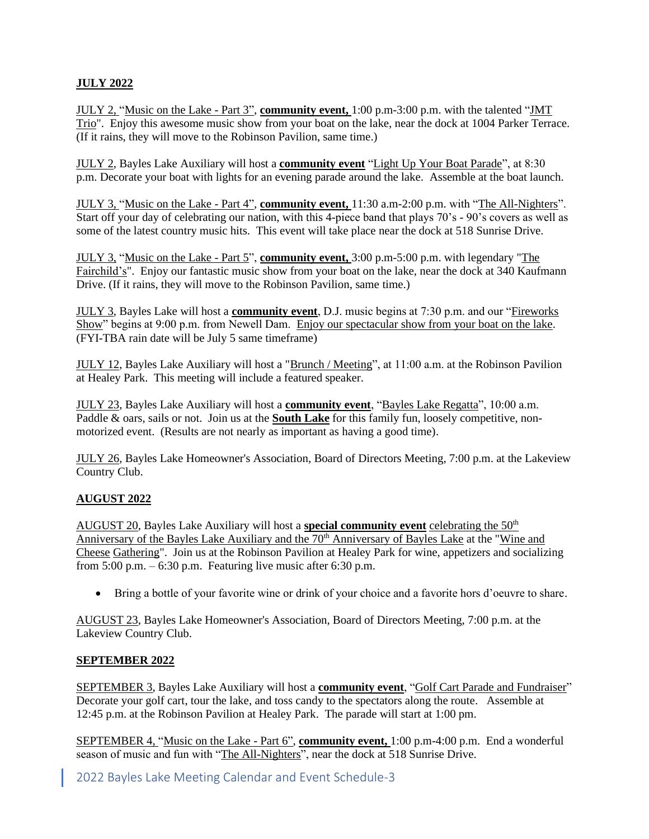# **JULY 2022**

JULY 2, "Music on the Lake - Part 3", **community event,** 1:00 p.m-3:00 p.m. with the talented "JMT Trio". Enjoy this awesome music show from your boat on the lake, near the dock at 1004 Parker Terrace. (If it rains, they will move to the Robinson Pavilion, same time.)

JULY 2, Bayles Lake Auxiliary will host a **community event** "Light Up Your Boat Parade", at 8:30 p.m. Decorate your boat with lights for an evening parade around the lake. Assemble at the boat launch.

JULY 3, "Music on the Lake - Part 4", **community event,** 11:30 a.m-2:00 p.m. with "The All-Nighters". Start off your day of celebrating our nation, with this 4-piece band that plays 70's - 90's covers as well as some of the latest country music hits. This event will take place near the dock at 518 Sunrise Drive.

JULY 3, "Music on the Lake - Part 5", **community event,** 3:00 p.m-5:00 p.m. with legendary "The Fairchild's". Enjoy our fantastic music show from your boat on the lake, near the dock at 340 Kaufmann Drive. (If it rains, they will move to the Robinson Pavilion, same time.)

JULY 3, Bayles Lake will host a **community event**, D.J. music begins at 7:30 p.m. and our "Fireworks Show" begins at 9:00 p.m. from Newell Dam. Enjoy our spectacular show from your boat on the lake. (FYI-TBA rain date will be July 5 same timeframe)

JULY 12, Bayles Lake Auxiliary will host a "Brunch / Meeting", at 11:00 a.m. at the Robinson Pavilion at Healey Park. This meeting will include a featured speaker.

JULY 23, Bayles Lake Auxiliary will host a **community event**, "Bayles Lake Regatta", 10:00 a.m. Paddle & oars, sails or not. Join us at the **South Lake** for this family fun, loosely competitive, nonmotorized event. (Results are not nearly as important as having a good time).

JULY 26, Bayles Lake Homeowner's Association, Board of Directors Meeting, 7:00 p.m. at the Lakeview Country Club.

### **AUGUST 2022**

AUGUST 20, Bayles Lake Auxiliary will host a **special community event** celebrating the 50th Anniversary of the Bayles Lake Auxiliary and the 70<sup>th</sup> Anniversary of Bayles Lake at the "Wine and Cheese Gathering". Join us at the Robinson Pavilion at Healey Park for wine, appetizers and socializing from  $5:00$  p.m.  $-6:30$  p.m. Featuring live music after 6:30 p.m.

• Bring a bottle of your favorite wine or drink of your choice and a favorite hors d'oeuvre to share.

AUGUST 23, Bayles Lake Homeowner's Association, Board of Directors Meeting, 7:00 p.m. at the Lakeview Country Club.

### **SEPTEMBER 2022**

SEPTEMBER 3, Bayles Lake Auxiliary will host a **community event**, "Golf Cart Parade and Fundraiser" Decorate your golf cart, tour the lake, and toss candy to the spectators along the route. Assemble at 12:45 p.m. at the Robinson Pavilion at Healey Park. The parade will start at 1:00 pm.

SEPTEMBER 4, "Music on the Lake - Part 6", **community event,** 1:00 p.m-4:00 p.m. End a wonderful season of music and fun with "The All-Nighters", near the dock at 518 Sunrise Drive.

2022 Bayles Lake Meeting Calendar and Event Schedule-3